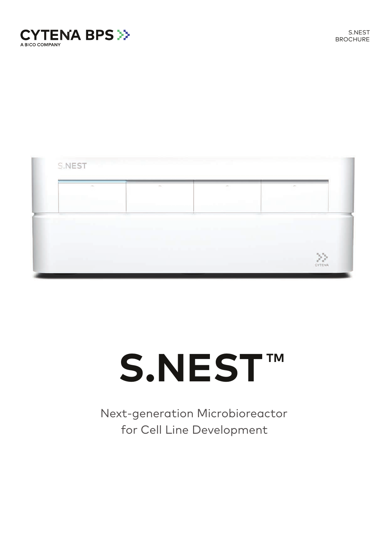



# S.NEST<sup>TM</sup>

Next-generation Microbioreactor for Cell Line Development

 $\gg$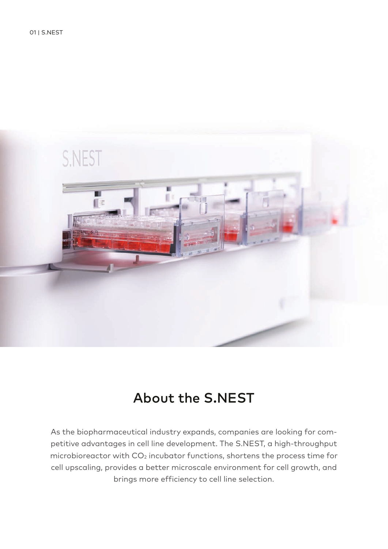

## About the S.NEST

As the biopharmaceutical industry expands, companies are looking for competitive advantages in cell line development. The S.NEST, a high-throughput microbioreactor with  $CO<sub>2</sub>$  incubator functions, shortens the process time for cell upscaling, provides a better microscale environment for cell growth, and brings more efficiency to cell line selection.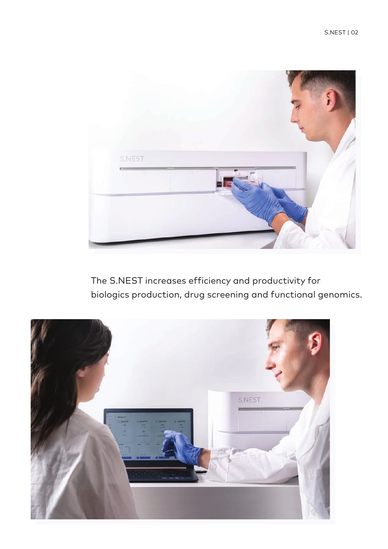

The S.NEST increases efficiency and productivity for biologics production, drug screening and functional genomics.

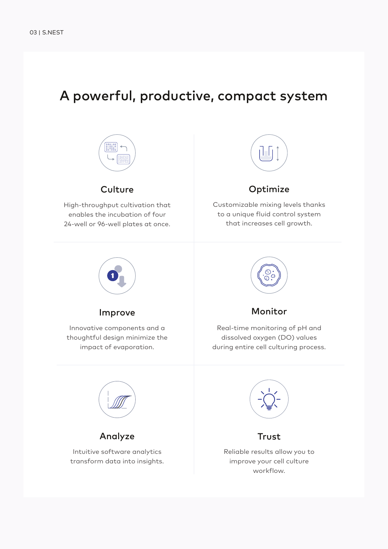## A powerful, productive, compact system



#### **Culture**

High-throughput cultivation that enables the incubation of four 24-well or 96-well plates at once.



#### Optimize

Customizable mixing levels thanks to a unique fluid control system that increases cell growth.



#### Improve

Innovative components and a thoughtful design minimize the impact of evaporation.



#### Monitor

Real-time monitoring of pH and dissolved oxygen (DO) values during entire cell culturing process.



Analyze

Intuitive software analytics transform data into insights.



#### **Trust**

Reliable results allow you to improve your cell culture workflow.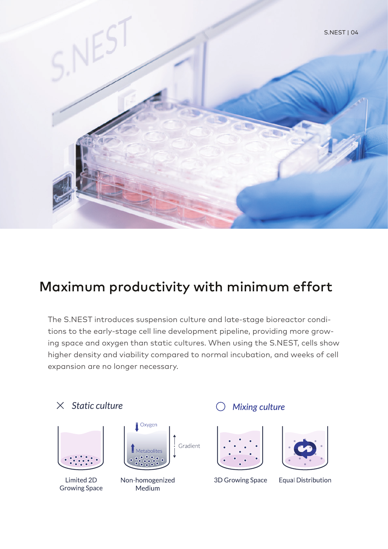

## Maximum productivity with minimum effort

The S.NEST introduces suspension culture and late-stage bioreactor conditions to the early-stage cell line development pipeline, providing more growing space and oxygen than static cultures. When using the S.NEST, cells show higher density and viability compared to normal incubation, and weeks of cell expansion are no longer necessary.



Limited 2D **Growing Space** 



Non-homogenized Medium

#### **Mixing culture**





3D Growing Space

**Equal Distribution**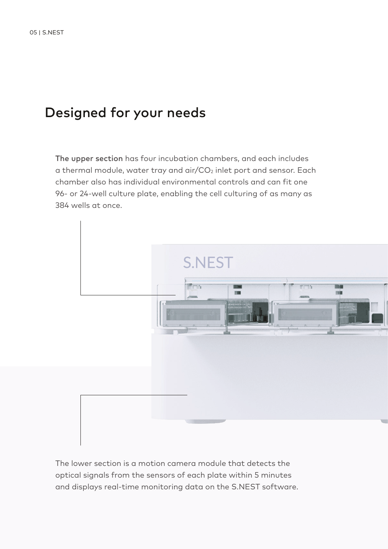## Designed for your needs

The upper section has four incubation chambers, and each includes a thermal module, water tray and air/ $CO<sub>2</sub>$  inlet port and sensor. Each chamber also has individual environmental controls and can fit one 96- or 24-well culture plate, enabling the cell culturing of as many as 384 wells at once.



The lower section is a motion camera module that detects the optical signals from the sensors of each plate within 5 minutes and displays real-time monitoring data on the S.NEST software.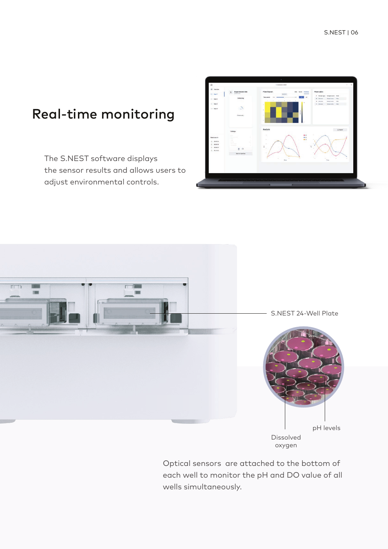## Real-time monitoring

The S.NEST software displays the sensor results and allows users to adjust environmental controls.





Dissolved oxygen

Optical sensors are attached to the bottom of each well to monitor the pH and DO value of all wells simultaneously.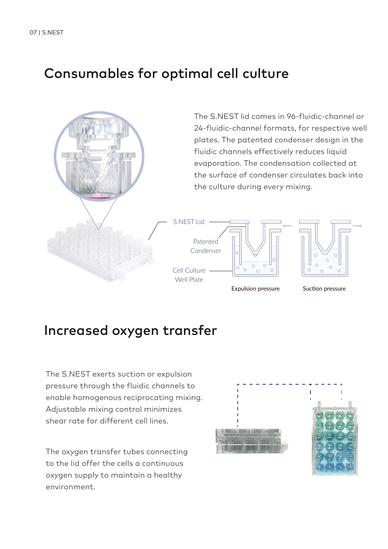## Consumables for optimal cell culture



## Increased oxygen transfer

The S.NEST exerts suction or expulsion pressure through the fluidic channels to enable homogenous reciprocating mixing. Adjustable mixing control minimizes shear rate for different cell lines.

The oxygen transfer tubes connecting to the lid offer the cells a continuous oxygen supply to maintain a healthy environment.

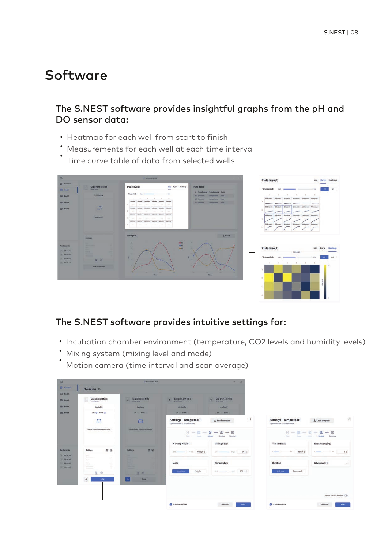## Software

#### The S.NEST software provides insightful graphs from the pH and DO sensor data:

- Heatmap for each well from start to finish
- Measurements for each well at each time interval
- Time curve table of data from selected wells



#### The S.NEST software provides intuitive settings for:

- Incubation chamber environment (temperature, CO2 levels and humidity levels)
- Mixing system (mixing level and mode)
- Motion camera (time interval and scan average)

| 面                                                    |                                                                                                                                                                                                                     | O Enwarted LNCTT                                               |                                                                        | $\times$<br>-                                      |                                                              |                                           |
|------------------------------------------------------|---------------------------------------------------------------------------------------------------------------------------------------------------------------------------------------------------------------------|----------------------------------------------------------------|------------------------------------------------------------------------|----------------------------------------------------|--------------------------------------------------------------|-------------------------------------------|
| <b>SE</b> Districts<br>B NHIT                        | Overview <sup>®</sup>                                                                                                                                                                                               |                                                                |                                                                        |                                                    |                                                              |                                           |
| <b>B</b> Hell 2                                      | $\mathbf{r}$<br><b>Experiment title</b><br>24 will hained                                                                                                                                                           | <b>Experiment title</b><br>$\overline{2}$<br><b>REGISTERED</b> | <b>Experiment title</b><br>$\overline{\mathbf{z}}$<br><b>STANDARDS</b> | <b>Experiment title</b><br><b>Grandella</b>        |                                                              |                                           |
| B Next 3                                             | Available                                                                                                                                                                                                           | <b>Available</b>                                               | Available                                                              | <b>Available</b>                                   |                                                              |                                           |
| <b>ER</b> Next 4                                     | Litt @ Plate: @                                                                                                                                                                                                     | <b>DE PUM</b>                                                  | Lid: 11 Plate:                                                         | Lid. Plate:                                        |                                                              |                                           |
|                                                      | $\bigoplus$                                                                                                                                                                                                         | $\triangle$                                                    | Settings   Template 01<br>Experiment title 1 24 well format            | ×<br>& Load template                               | Settings   Template 01<br>Experienced title 1 24 well format | $\times$<br>& Load template               |
|                                                      | Please insert the plate and setup<br>Please insert the plate and setup                                                                                                                                              |                                                                | Libraries of<br>Time:                                                  | $E - E - B - C - E$<br>Maing<br>Summary<br>Senatry | Liverant Manager<br><b>Plain 11</b>                          | $E - 4 - 8 - 6 - 8$<br>Sammary<br>Sensing |
|                                                      |                                                                                                                                                                                                                     |                                                                | <b>Working Volume</b>                                                  | <b>Mixing Level</b>                                | <b>Time Interval</b>                                         | <b>Scan Averaging</b>                     |
| <b>Next scan in</b><br>$A$ 00 05 36                  | 意区<br>Settings<br>$\label{eq:1} \begin{aligned} \mathcal{L}_{\text{max}}(\mathcal{L}_{\text{max}}) = \mathcal{L}_{\text{max}}(\mathcal{L}_{\text{max}}) \end{aligned}$<br><b>School College</b><br><b>Selection</b> | 意话<br><b>Bettings</b><br>--<br>٠                               | 1400 pt. 2<br>800 - 1400 - 1400 -                                      | $20*$<br>tion were than the com-                   | 15 min :                                                     | 3.2<br>A series commercial life           |
| $2.1 - 30.04, 38.$<br>$ 1 - 00.08.03 $<br>Y 00.10.25 | <b>Walle</b><br><b>Service</b><br>-<br>$\sim 100$<br>Separate<br><b>School</b><br>Police of<br><b>Science</b>                                                                                                       | <br><br>m<br>٠<br>--<br>_                                      | Mode                                                                   | Temperature                                        | Duration                                                     | Advanced ©<br>$\cdot$                     |
|                                                      | 兰 中                                                                                                                                                                                                                 | 三 向                                                            | Continuous<br>Periodic                                                 | $112$ $-412$ $-729$ °C;                            | <b>Until stop</b><br>Outstomized                             |                                           |
|                                                      | $\Delta$<br><b>Setup</b>                                                                                                                                                                                            | a.<br><b>Setup</b>                                             |                                                                        |                                                    |                                                              |                                           |
|                                                      |                                                                                                                                                                                                                     |                                                                |                                                                        |                                                    |                                                              |                                           |
|                                                      |                                                                                                                                                                                                                     |                                                                |                                                                        |                                                    |                                                              | <b>Disable sensing function</b> (TB)      |
|                                                      |                                                                                                                                                                                                                     |                                                                | Save template                                                          | Previous<br>Next -                                 | Save template                                                | Previous<br>Ned-                          |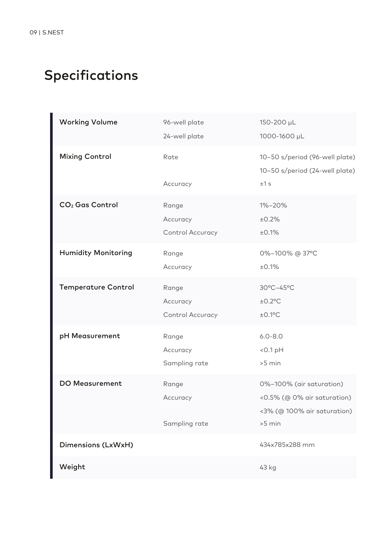# Specifications

| <b>Working Volume</b>       | 96-well plate<br>24-well plate        | 150-200 µL<br>1000-1600 µL                                                                       |
|-----------------------------|---------------------------------------|--------------------------------------------------------------------------------------------------|
| <b>Mixing Control</b>       | Rate<br>Accuracy                      | 10-50 s/period (96-well plate)<br>10-50 s/period (24-well plate)<br>±1 s                         |
| CO <sub>2</sub> Gas Control | Range<br>Accuracy<br>Control Accuracy | 1%-20%<br>±0.2%<br>±0.1%                                                                         |
| <b>Humidity Monitoring</b>  | Range<br>Accuracy                     | 0%-100% @ 37°C<br>±0.1%                                                                          |
| <b>Temperature Control</b>  | Range<br>Accuracy<br>Control Accuracy | 30°C-45°C<br>$±0.2$ °C<br>$±0.1$ °C                                                              |
| pH Measurement              | Range<br>Accuracy<br>Sampling rate    | $6.0 - 8.0$<br>$<$ 0.1 pH<br>$>5$ min                                                            |
| <b>DO Measurement</b>       | Range<br>Accuracy<br>Sampling rate    | 0%-100% (air saturation)<br><0.5% (@ 0% air saturation)<br><3% (@ 100% air saturation)<br>>5 min |
| Dimensions (LxWxH)          |                                       | 434x785x288 mm                                                                                   |
| Weight                      |                                       | 43 kg                                                                                            |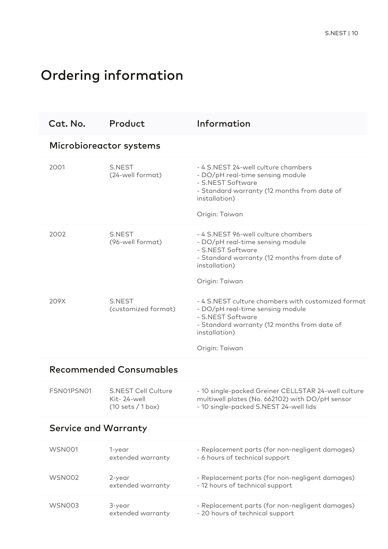# Ordering information

| Cat. No.                       | Product                                                        | Information                                                                                                                                                                                   |  |  |  |  |  |
|--------------------------------|----------------------------------------------------------------|-----------------------------------------------------------------------------------------------------------------------------------------------------------------------------------------------|--|--|--|--|--|
| Microbioreactor systems        |                                                                |                                                                                                                                                                                               |  |  |  |  |  |
| 2001                           | S.NEST<br>(24-well format)                                     | - 4 S.NEST 24-well culture chambers<br>- DO/pH real-time sensing module<br>- S.NEST Software<br>- Standard warranty (12 months from date of<br>installation)<br>Origin: Taiwan                |  |  |  |  |  |
| 2002                           | S.NEST<br>(96-well format)                                     | - 4 S.NEST 96-well culture chambers<br>- DO/pH real-time sensing module<br>- S.NEST Software<br>- Standard warranty (12 months from date of<br>installation)<br>Origin: Taiwan                |  |  |  |  |  |
| 209X                           | S.NEST<br>(customized format)                                  | - 4 S.NEST culture chambers with customized format<br>- DO/pH real-time sensing module<br>- S.NEST Software<br>- Standard warranty (12 months from date of<br>installation)<br>Origin: Taiwan |  |  |  |  |  |
| <b>Recommended Consumables</b> |                                                                |                                                                                                                                                                                               |  |  |  |  |  |
| FSN01PSN01                     | <b>S.NEST Cell Culture</b><br>Kit-24-well<br>(10 sets / 1 box) | - 10 single-packed Greiner CELLSTAR 24-well culture<br>multiwell plates (No. 662102) with DO/pH sensor<br>- 10 single-packed S.NEST 24-well lids                                              |  |  |  |  |  |
| <b>Service and Warranty</b>    |                                                                |                                                                                                                                                                                               |  |  |  |  |  |
| <b>WSN001</b>                  | 1-year<br>extended warranty                                    | - Replacement parts (for non-negligent damages)<br>- 6 hours of technical support                                                                                                             |  |  |  |  |  |
| WSN002                         | 2-year<br>extended warranty                                    | - Replacement parts (for non-negligent damages)<br>- 12 hours of technical support                                                                                                            |  |  |  |  |  |
| <b>WSN003</b>                  | 3-year<br>extended warranty                                    | - Replacement parts (for non-negligent damages)<br>- 20 hours of technical support                                                                                                            |  |  |  |  |  |